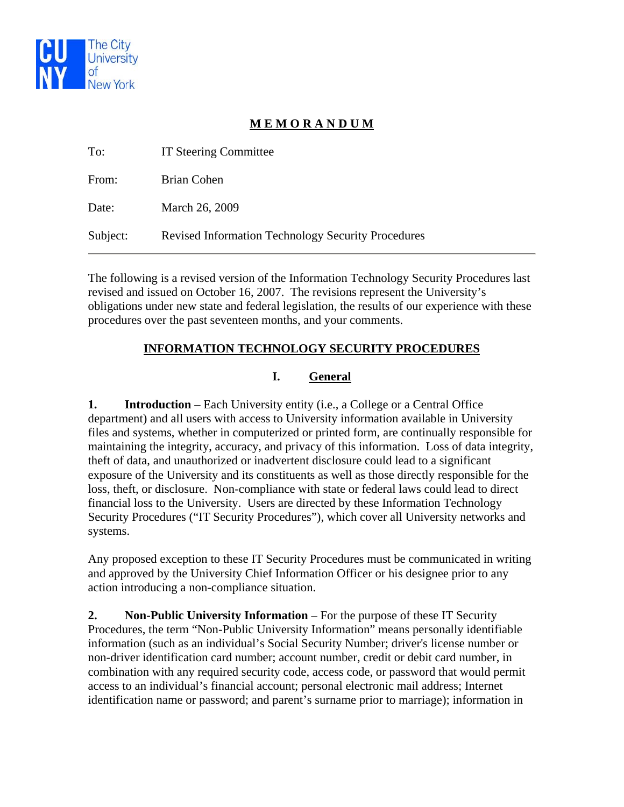

# **M E M O R A N D U M**

| To:      | <b>IT Steering Committee</b>                              |
|----------|-----------------------------------------------------------|
| From:    | Brian Cohen                                               |
| Date:    | March 26, 2009                                            |
| Subject: | <b>Revised Information Technology Security Procedures</b> |

The following is a revised version of the Information Technology Security Procedures last revised and issued on October 16, 2007. The revisions represent the University's obligations under new state and federal legislation, the results of our experience with these procedures over the past seventeen months, and your comments.

### **INFORMATION TECHNOLOGY SECURITY PROCEDURES**

### **I. General**

**1.** Introduction – Each University entity (i.e., a College or a Central Office department) and all users with access to University information available in University files and systems, whether in computerized or printed form, are continually responsible for maintaining the integrity, accuracy, and privacy of this information. Loss of data integrity, theft of data, and unauthorized or inadvertent disclosure could lead to a significant exposure of the University and its constituents as well as those directly responsible for the loss, theft, or disclosure. Non-compliance with state or federal laws could lead to direct financial loss to the University. Users are directed by these Information Technology Security Procedures ("IT Security Procedures"), which cover all University networks and systems.

Any proposed exception to these IT Security Procedures must be communicated in writing and approved by the University Chief Information Officer or his designee prior to any action introducing a non-compliance situation.

**2. Non-Public University Information** – For the purpose of these IT Security Procedures, the term "Non-Public University Information" means personally identifiable information (such as an individual's Social Security Number; driver's license number or non-driver identification card number; account number, credit or debit card number, in combination with any required security code, access code, or password that would permit access to an individual's financial account; personal electronic mail address; Internet identification name or password; and parent's surname prior to marriage); information in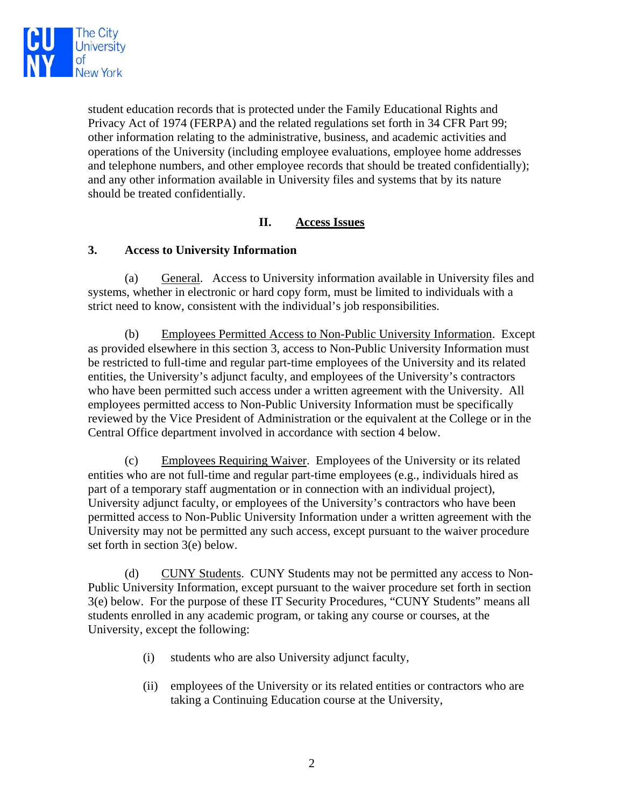

student education records that is protected under the Family Educational Rights and Privacy Act of 1974 (FERPA) and the related regulations set forth in 34 CFR Part 99; other information relating to the administrative, business, and academic activities and operations of the University (including employee evaluations, employee home addresses and telephone numbers, and other employee records that should be treated confidentially); and any other information available in University files and systems that by its nature should be treated confidentially.

#### **II. Access Issues**

#### **3. Access to University Information**

(a) General. Access to University information available in University files and systems, whether in electronic or hard copy form, must be limited to individuals with a strict need to know, consistent with the individual's job responsibilities.

(b) Employees Permitted Access to Non-Public University Information. Except as provided elsewhere in this section 3, access to Non-Public University Information must be restricted to full-time and regular part-time employees of the University and its related entities, the University's adjunct faculty, and employees of the University's contractors who have been permitted such access under a written agreement with the University. All employees permitted access to Non-Public University Information must be specifically reviewed by the Vice President of Administration or the equivalent at the College or in the Central Office department involved in accordance with section 4 below.

(c) Employees Requiring Waiver. Employees of the University or its related entities who are not full-time and regular part-time employees (e.g., individuals hired as part of a temporary staff augmentation or in connection with an individual project), University adjunct faculty, or employees of the University's contractors who have been permitted access to Non-Public University Information under a written agreement with the University may not be permitted any such access, except pursuant to the waiver procedure set forth in section 3(e) below.

(d) CUNY Students. CUNY Students may not be permitted any access to Non-Public University Information, except pursuant to the waiver procedure set forth in section 3(e) below. For the purpose of these IT Security Procedures, "CUNY Students" means all students enrolled in any academic program, or taking any course or courses, at the University, except the following:

- (i) students who are also University adjunct faculty,
- (ii) employees of the University or its related entities or contractors who are taking a Continuing Education course at the University,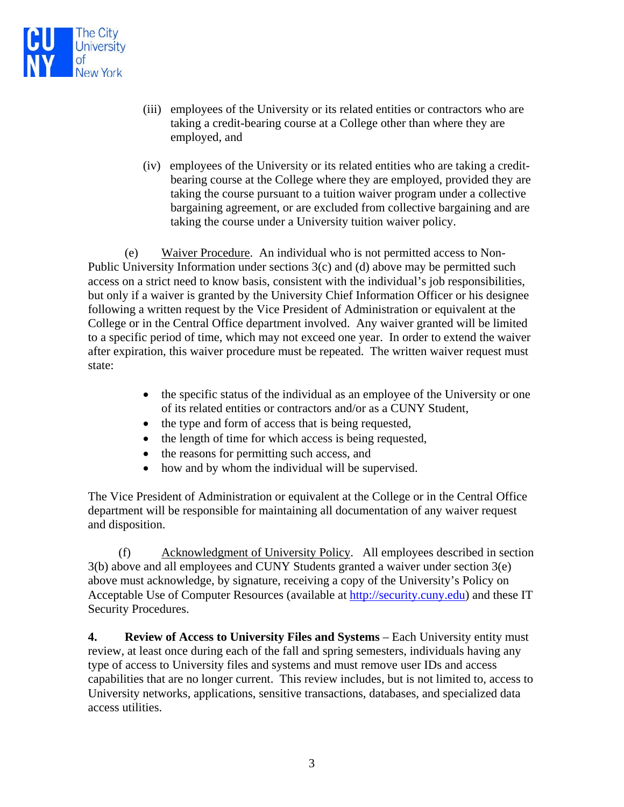

- (iii) employees of the University or its related entities or contractors who are taking a credit-bearing course at a College other than where they are employed, and
- (iv) employees of the University or its related entities who are taking a creditbearing course at the College where they are employed, provided they are taking the course pursuant to a tuition waiver program under a collective bargaining agreement, or are excluded from collective bargaining and are taking the course under a University tuition waiver policy.

(e) Waiver Procedure. An individual who is not permitted access to Non-Public University Information under sections 3(c) and (d) above may be permitted such access on a strict need to know basis, consistent with the individual's job responsibilities, but only if a waiver is granted by the University Chief Information Officer or his designee following a written request by the Vice President of Administration or equivalent at the College or in the Central Office department involved. Any waiver granted will be limited to a specific period of time, which may not exceed one year. In order to extend the waiver after expiration, this waiver procedure must be repeated. The written waiver request must state:

- the specific status of the individual as an employee of the University or one of its related entities or contractors and/or as a CUNY Student,
- the type and form of access that is being requested,
- the length of time for which access is being requested,
- the reasons for permitting such access, and
- how and by whom the individual will be supervised.

The Vice President of Administration or equivalent at the College or in the Central Office department will be responsible for maintaining all documentation of any waiver request and disposition.

 (f) Acknowledgment of University Policy. All employees described in section 3(b) above and all employees and CUNY Students granted a waiver under section 3(e) above must acknowledge, by signature, receiving a copy of the University's Policy on Acceptable Use of Computer Resources (available at [http://security.cuny.edu\)](http://security.cuny.edu/) and these IT Security Procedures.

**4. Review of Access to University Files and Systems** – Each University entity must review, at least once during each of the fall and spring semesters, individuals having any type of access to University files and systems and must remove user IDs and access capabilities that are no longer current. This review includes, but is not limited to, access to University networks, applications, sensitive transactions, databases, and specialized data access utilities.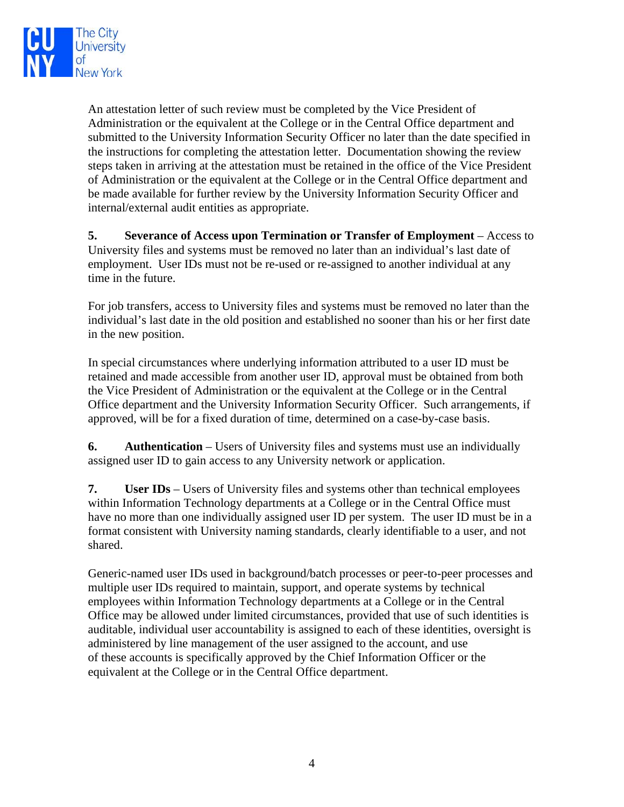

An attestation letter of such review must be completed by the Vice President of Administration or the equivalent at the College or in the Central Office department and submitted to the University Information Security Officer no later than the date specified in the instructions for completing the attestation letter. Documentation showing the review steps taken in arriving at the attestation must be retained in the office of the Vice President of Administration or the equivalent at the College or in the Central Office department and be made available for further review by the University Information Security Officer and internal/external audit entities as appropriate.

**5. Severance of Access upon Termination or Transfer of Employment** – Access to University files and systems must be removed no later than an individual's last date of employment. User IDs must not be re-used or re-assigned to another individual at any time in the future.

For job transfers, access to University files and systems must be removed no later than the individual's last date in the old position and established no sooner than his or her first date in the new position.

In special circumstances where underlying information attributed to a user ID must be retained and made accessible from another user ID, approval must be obtained from both the Vice President of Administration or the equivalent at the College or in the Central Office department and the University Information Security Officer. Such arrangements, if approved, will be for a fixed duration of time, determined on a case-by-case basis.

**6. Authentication** – Users of University files and systems must use an individually assigned user ID to gain access to any University network or application.

**7.** User IDs – Users of University files and systems other than technical employees within Information Technology departments at a College or in the Central Office must have no more than one individually assigned user ID per system. The user ID must be in a format consistent with University naming standards, clearly identifiable to a user, and not shared.

Generic-named user IDs used in background/batch processes or peer-to-peer processes and multiple user IDs required to maintain, support, and operate systems by technical employees within Information Technology departments at a College or in the Central Office may be allowed under limited circumstances, provided that use of such identities is auditable, individual user accountability is assigned to each of these identities, oversight is administered by line management of the user assigned to the account, and use of these accounts is specifically approved by the Chief Information Officer or the equivalent at the College or in the Central Office department.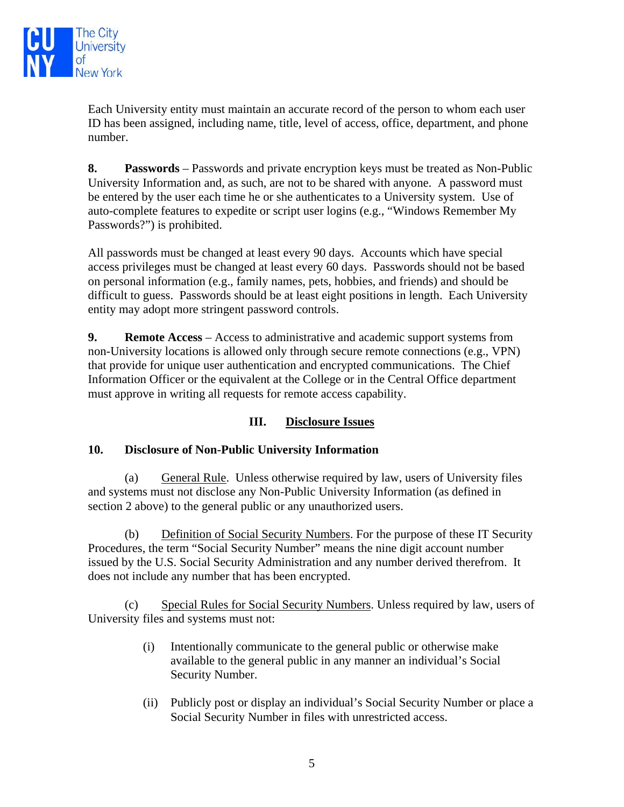

Each University entity must maintain an accurate record of the person to whom each user ID has been assigned, including name, title, level of access, office, department, and phone number.

**8. Passwords** – Passwords and private encryption keys must be treated as Non-Public University Information and, as such, are not to be shared with anyone. A password must be entered by the user each time he or she authenticates to a University system. Use of auto-complete features to expedite or script user logins (e.g., "Windows Remember My Passwords?") is prohibited.

All passwords must be changed at least every 90 days. Accounts which have special access privileges must be changed at least every 60 days. Passwords should not be based on personal information (e.g., family names, pets, hobbies, and friends) and should be difficult to guess. Passwords should be at least eight positions in length. Each University entity may adopt more stringent password controls.

**9. Remote Access** – Access to administrative and academic support systems from non-University locations is allowed only through secure remote connections (e.g., VPN) that provide for unique user authentication and encrypted communications. The Chief Information Officer or the equivalent at the College or in the Central Office department must approve in writing all requests for remote access capability.

## **III. Disclosure Issues**

#### **10. Disclosure of Non-Public University Information**

(a) General Rule. Unless otherwise required by law, users of University files and systems must not disclose any Non-Public University Information (as defined in section 2 above) to the general public or any unauthorized users.

(b) Definition of Social Security Numbers. For the purpose of these IT Security Procedures, the term "Social Security Number" means the nine digit account number issued by the U.S. Social Security Administration and any number derived therefrom. It does not include any number that has been encrypted.

(c) Special Rules for Social Security Numbers. Unless required by law, users of University files and systems must not:

- (i) Intentionally communicate to the general public or otherwise make available to the general public in any manner an individual's Social Security Number.
- (ii) Publicly post or display an individual's Social Security Number or place a Social Security Number in files with unrestricted access.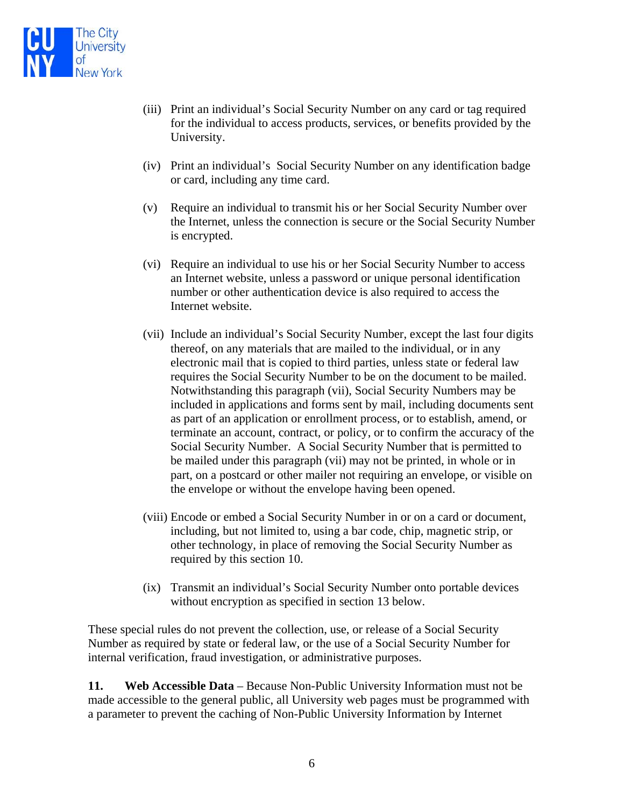

- (iii) Print an individual's Social Security Number on any card or tag required for the individual to access products, services, or benefits provided by the University.
- (iv) Print an individual's Social Security Number on any identification badge or card, including any time card.
- (v) Require an individual to transmit his or her Social Security Number over the Internet, unless the connection is secure or the Social Security Number is encrypted.
- (vi) Require an individual to use his or her Social Security Number to access an Internet website, unless a password or unique personal identification number or other authentication device is also required to access the Internet website.
- (vii) Include an individual's Social Security Number, except the last four digits thereof, on any materials that are mailed to the individual, or in any electronic mail that is copied to third parties, unless state or federal law requires the Social Security Number to be on the document to be mailed. Notwithstanding this paragraph (vii), Social Security Numbers may be included in applications and forms sent by mail, including documents sent as part of an application or enrollment process, or to establish, amend, or terminate an account, contract, or policy, or to confirm the accuracy of the Social Security Number. A Social Security Number that is permitted to be mailed under this paragraph (vii) may not be printed, in whole or in part, on a postcard or other mailer not requiring an envelope, or visible on the envelope or without the envelope having been opened.
- (viii) Encode or embed a Social Security Number in or on a card or document, including, but not limited to, using a bar code, chip, magnetic strip, or other technology, in place of removing the Social Security Number as required by this section 10.
- (ix) Transmit an individual's Social Security Number onto portable devices without encryption as specified in section 13 below.

These special rules do not prevent the collection, use, or release of a Social Security Number as required by state or federal law, or the use of a Social Security Number for internal verification, fraud investigation, or administrative purposes.

**11. Web Accessible Data** – Because Non-Public University Information must not be made accessible to the general public, all University web pages must be programmed with a parameter to prevent the caching of Non-Public University Information by Internet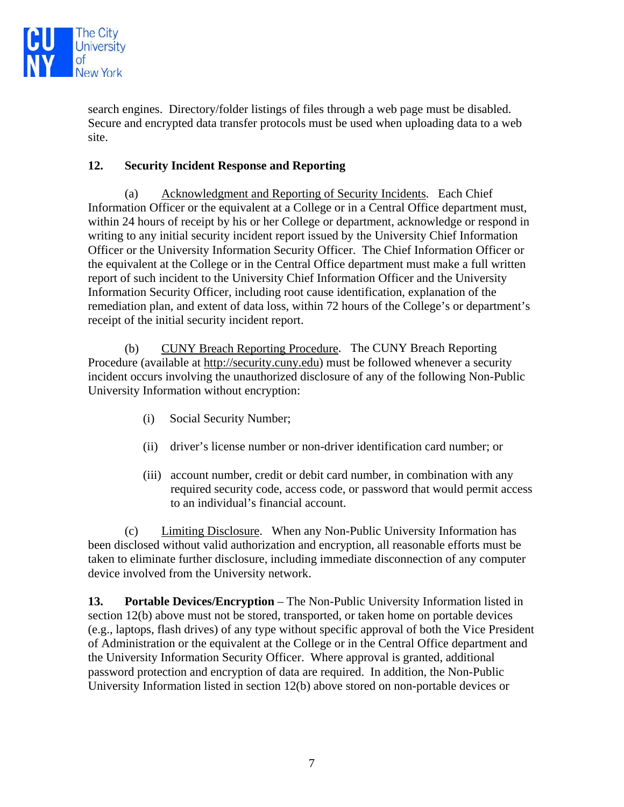

search engines. Directory/folder listings of files through a web page must be disabled. Secure and encrypted data transfer protocols must be used when uploading data to a web site.

### **12. Security Incident Response and Reporting**

(a) Acknowledgment and Reporting of Security Incidents. Each Chief Information Officer or the equivalent at a College or in a Central Office department must, within 24 hours of receipt by his or her College or department, acknowledge or respond in writing to any initial security incident report issued by the University Chief Information Officer or the University Information Security Officer. The Chief Information Officer or the equivalent at the College or in the Central Office department must make a full written report of such incident to the University Chief Information Officer and the University Information Security Officer, including root cause identification, explanation of the remediation plan, and extent of data loss, within 72 hours of the College's or department's receipt of the initial security incident report.

(b) CUNY Breach Reporting Procedure. The CUNY Breach Reporting Procedure (available at http://security.cuny.edu) must be followed whenever a security incident occurs involving the unauthorized disclosure of any of the following Non-Public University Information without encryption:

- (i) Social Security Number;
- (ii) driver's license number or non-driver identification card number; or
- (iii) account number, credit or debit card number, in combination with any required security code, access code, or password that would permit access to an individual's financial account.

(c) Limiting Disclosure. When any Non-Public University Information has been disclosed without valid authorization and encryption, all reasonable efforts must be taken to eliminate further disclosure, including immediate disconnection of any computer device involved from the University network.

**13.** Portable Devices/Encryption – The Non-Public University Information listed in section 12(b) above must not be stored, transported, or taken home on portable devices (e.g., laptops, flash drives) of any type without specific approval of both the Vice President of Administration or the equivalent at the College or in the Central Office department and the University Information Security Officer. Where approval is granted, additional password protection and encryption of data are required. In addition, the Non-Public University Information listed in section 12(b) above stored on non-portable devices or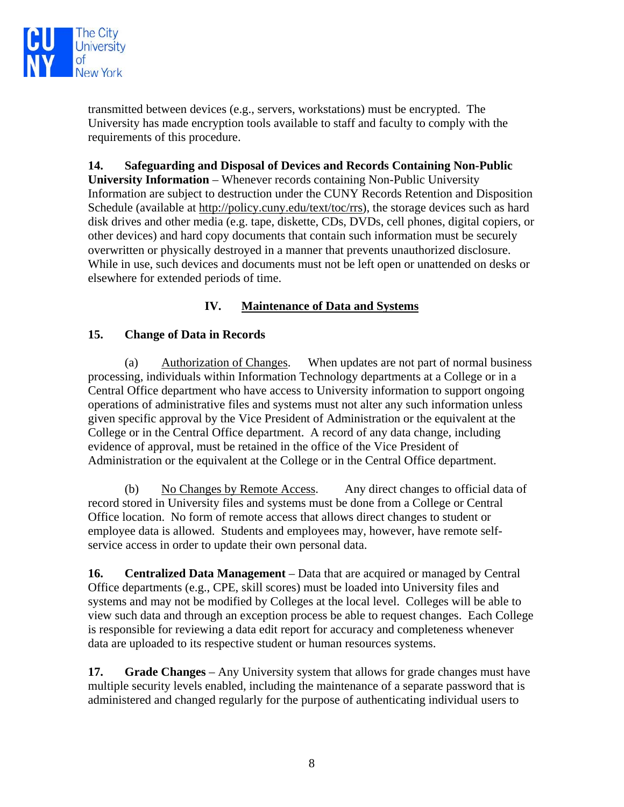

transmitted between devices (e.g., servers, workstations) must be encrypted. The University has made encryption tools available to staff and faculty to comply with the requirements of this procedure.

**14. Safeguarding and Disposal of Devices and Records Containing Non-Public University Information** – Whenever records containing Non-Public University Information are subject to destruction under the CUNY Records Retention and Disposition Schedule (available at http://policy.cuny.edu/text/toc/rrs), the storage devices such as hard disk drives and other media (e.g. tape, diskette, CDs, DVDs, cell phones, digital copiers, or other devices) and hard copy documents that contain such information must be securely overwritten or physically destroyed in a manner that prevents unauthorized disclosure. While in use, such devices and documents must not be left open or unattended on desks or elsewhere for extended periods of time.

## **IV. Maintenance of Data and Systems**

## **15. Change of Data in Records**

 (a) Authorization of Changes. When updates are not part of normal business processing, individuals within Information Technology departments at a College or in a Central Office department who have access to University information to support ongoing operations of administrative files and systems must not alter any such information unless given specific approval by the Vice President of Administration or the equivalent at the College or in the Central Office department. A record of any data change, including evidence of approval, must be retained in the office of the Vice President of Administration or the equivalent at the College or in the Central Office department.

(b) No Changes by Remote Access. Any direct changes to official data of record stored in University files and systems must be done from a College or Central Office location. No form of remote access that allows direct changes to student or employee data is allowed. Students and employees may, however, have remote selfservice access in order to update their own personal data.

**16. Centralized Data Management** – Data that are acquired or managed by Central Office departments (e.g., CPE, skill scores) must be loaded into University files and systems and may not be modified by Colleges at the local level. Colleges will be able to view such data and through an exception process be able to request changes. Each College is responsible for reviewing a data edit report for accuracy and completeness whenever data are uploaded to its respective student or human resources systems.

**17. Grade Changes** – Any University system that allows for grade changes must have multiple security levels enabled, including the maintenance of a separate password that is administered and changed regularly for the purpose of authenticating individual users to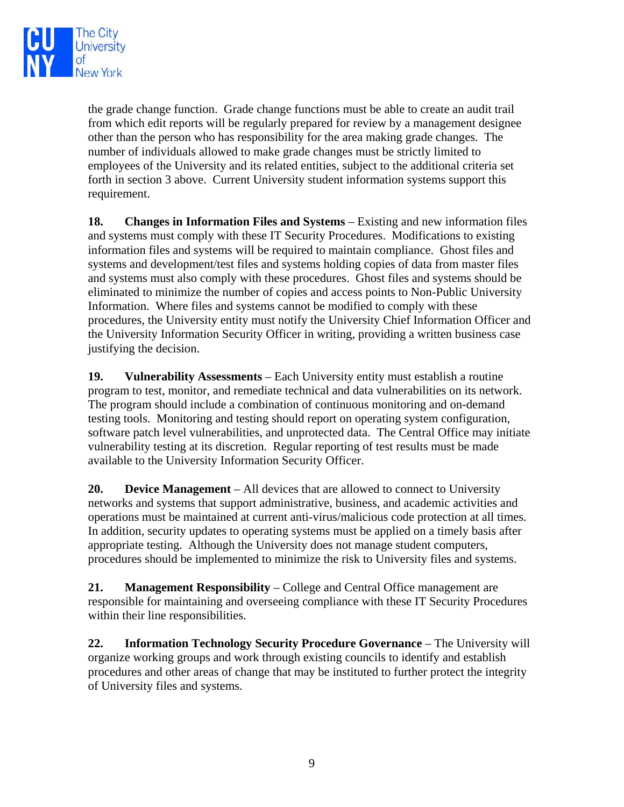

the grade change function. Grade change functions must be able to create an audit trail from which edit reports will be regularly prepared for review by a management designee other than the person who has responsibility for the area making grade changes. The number of individuals allowed to make grade changes must be strictly limited to employees of the University and its related entities, subject to the additional criteria set forth in section 3 above. Current University student information systems support this requirement.

**18. Changes in Information Files and Systems** – Existing and new information files and systems must comply with these IT Security Procedures. Modifications to existing information files and systems will be required to maintain compliance. Ghost files and systems and development/test files and systems holding copies of data from master files and systems must also comply with these procedures. Ghost files and systems should be eliminated to minimize the number of copies and access points to Non-Public University Information. Where files and systems cannot be modified to comply with these procedures, the University entity must notify the University Chief Information Officer and the University Information Security Officer in writing, providing a written business case justifying the decision.

**19. Vulnerability Assessments** – Each University entity must establish a routine program to test, monitor, and remediate technical and data vulnerabilities on its network. The program should include a combination of continuous monitoring and on-demand testing tools. Monitoring and testing should report on operating system configuration, software patch level vulnerabilities, and unprotected data. The Central Office may initiate vulnerability testing at its discretion. Regular reporting of test results must be made available to the University Information Security Officer.

**20. Device Management** – All devices that are allowed to connect to University networks and systems that support administrative, business, and academic activities and operations must be maintained at current anti-virus/malicious code protection at all times. In addition, security updates to operating systems must be applied on a timely basis after appropriate testing. Although the University does not manage student computers, procedures should be implemented to minimize the risk to University files and systems.

**21. Management Responsibility** – College and Central Office management are responsible for maintaining and overseeing compliance with these IT Security Procedures within their line responsibilities.

**22. Information Technology Security Procedure Governance – The University will** organize working groups and work through existing councils to identify and establish procedures and other areas of change that may be instituted to further protect the integrity of University files and systems.